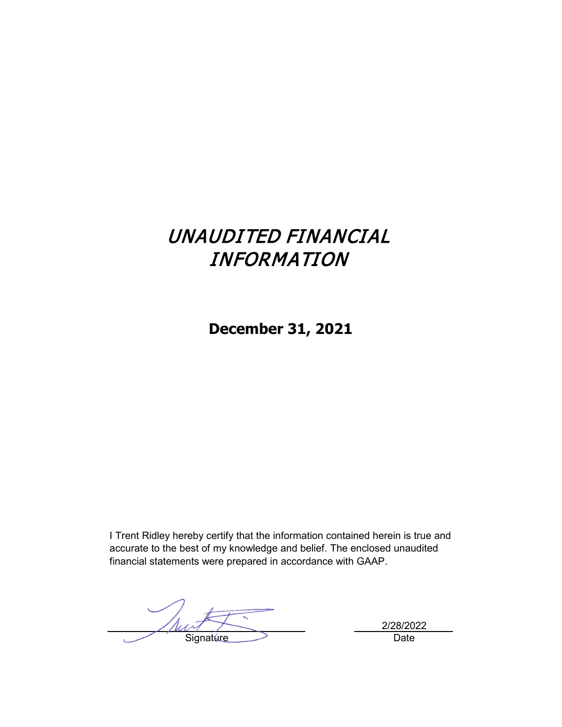# UNAUDITED FINANCIAL INFORMATION

**December 31, 2021**

I Trent Ridley hereby certify that the information contained herein is true and accurate to the best of my knowledge and belief. The enclosed unaudited financial statements were prepared in accordance with GAAP.

Thur Signature Date

2/28/2022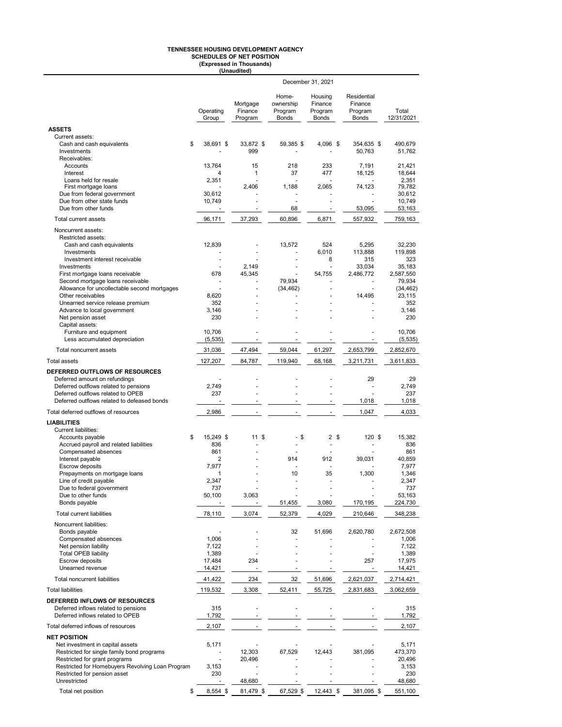# **TENNESSEE HOUSING DEVELOPMENT AGENCY SCHEDULES OF NET POSITION (Expressed in Thousands) (Unaudited)**

|                                                                       | December 31, 2021        |                                |                                               |                                               |                                                   |                     |  |  |
|-----------------------------------------------------------------------|--------------------------|--------------------------------|-----------------------------------------------|-----------------------------------------------|---------------------------------------------------|---------------------|--|--|
|                                                                       | Operating<br>Group       | Mortgage<br>Finance<br>Program | Home-<br>ownership<br>Program<br><b>Bonds</b> | Housing<br>Finance<br>Program<br><b>Bonds</b> | Residential<br>Finance<br>Program<br><b>Bonds</b> | Total<br>12/31/2021 |  |  |
| <b>ASSETS</b>                                                         |                          |                                |                                               |                                               |                                                   |                     |  |  |
| Current assets:                                                       |                          |                                |                                               |                                               |                                                   |                     |  |  |
| Cash and cash equivalents<br>\$<br>Investments                        | 38,691 \$                | 33,872 \$<br>999               | 59,385 \$                                     | 4,096 \$                                      | 354,635 \$<br>50,763                              | 490.679<br>51,762   |  |  |
| Receivables:<br>Accounts                                              | 13,764                   | 15                             | 218                                           | 233                                           | 7,191                                             | 21,421              |  |  |
| Interest                                                              | 4                        | $\mathbf{1}$                   | 37                                            | 477                                           | 18,125                                            | 18,644              |  |  |
| Loans held for resale                                                 | 2,351                    |                                |                                               |                                               |                                                   | 2,351               |  |  |
| First mortgage loans                                                  |                          | 2.406                          | 1.188                                         | 2,065                                         | 74,123                                            | 79,782              |  |  |
| Due from federal government                                           | 30,612                   |                                |                                               |                                               |                                                   | 30,612              |  |  |
| Due from other state funds                                            | 10,749                   |                                |                                               |                                               |                                                   | 10,749              |  |  |
| Due from other funds                                                  | $\overline{\phantom{a}}$ | $\overline{\phantom{a}}$       | 68                                            | $\blacksquare$                                | 53,095                                            | 53,163              |  |  |
| Total current assets                                                  | 96,171                   | 37,293                         | 60,896                                        | 6,871                                         | 557,932                                           | 759,163             |  |  |
| Noncurrent assets:                                                    |                          |                                |                                               |                                               |                                                   |                     |  |  |
| Restricted assets:                                                    |                          |                                |                                               |                                               |                                                   |                     |  |  |
| Cash and cash equivalents<br>Investments                              | 12,839                   |                                | 13,572                                        | 524<br>6,010                                  | 5,295<br>113,888                                  | 32,230<br>119,898   |  |  |
| Investment interest receivable                                        | ÷.                       |                                |                                               | 8                                             | 315                                               | 323                 |  |  |
| Investments                                                           | $\sim$                   | 2,149                          | $\overline{\phantom{a}}$                      | $\ddot{\phantom{1}}$                          | 33,034                                            | 35,183              |  |  |
| First mortgage loans receivable                                       | 678                      | 45,345                         |                                               | 54,755                                        | 2,486,772                                         | 2.587.550           |  |  |
| Second mortgage loans receivable                                      | ÷,                       |                                | 79,934                                        |                                               |                                                   | 79,934              |  |  |
| Allowance for uncollectable second mortgages                          | ÷,                       |                                | (34, 462)                                     | ä,                                            | $\sim$                                            | (34, 462)           |  |  |
| Other receivables                                                     | 8,620<br>352             |                                |                                               |                                               | 14,495                                            | 23,115<br>352       |  |  |
| Unearned service release premium<br>Advance to local government       | 3,146                    |                                |                                               |                                               |                                                   | 3,146               |  |  |
| Net pension asset                                                     | 230                      |                                |                                               |                                               |                                                   | 230                 |  |  |
| Capital assets:                                                       |                          |                                |                                               |                                               |                                                   |                     |  |  |
| Furniture and equipment                                               | 10,706                   |                                |                                               |                                               |                                                   | 10,706              |  |  |
| Less accumulated depreciation                                         | (5, 535)                 |                                |                                               | ÷,                                            |                                                   | (5, 535)            |  |  |
| Total noncurrent assets                                               | 31,036                   | 47,494                         | 59,044                                        | 61,297                                        | 2,653,799                                         | 2,852,670           |  |  |
| <b>Total assets</b>                                                   | 127,207                  | 84,787                         | 119,940                                       | 68,168                                        | 3,211,731                                         | 3,611,833           |  |  |
| DEFERRED OUTFLOWS OF RESOURCES                                        |                          |                                |                                               |                                               |                                                   |                     |  |  |
| Deferred amount on refundings                                         | ٠                        |                                |                                               |                                               | 29                                                | 29                  |  |  |
| Deferred outflows related to pensions                                 | 2,749                    |                                |                                               |                                               |                                                   | 2,749               |  |  |
| Deferred outflows related to OPEB                                     | 237                      |                                |                                               |                                               |                                                   | 237                 |  |  |
| Deferred outflows related to defeased bonds                           |                          |                                | $\overline{\phantom{a}}$                      |                                               | 1,018                                             | 1,018               |  |  |
| Total deferred outflows of resources                                  | 2,986                    | $\blacksquare$                 | $\blacksquare$                                |                                               | 1,047                                             | 4,033               |  |  |
| <b>LIABILITIES</b>                                                    |                          |                                |                                               |                                               |                                                   |                     |  |  |
| <b>Current liabilities:</b>                                           |                          |                                |                                               |                                               |                                                   |                     |  |  |
| Accounts payable<br>\$                                                | 15.249 \$                | 11S                            | - \$                                          | 2 <sup>5</sup>                                | 120 \$                                            | 15,382              |  |  |
| Accrued payroll and related liabilities                               | 836                      |                                |                                               | ÷,                                            |                                                   | 836                 |  |  |
| Compensated absences                                                  | 861                      |                                |                                               |                                               | 39.031                                            | 861<br>40.859       |  |  |
| Interest payable<br>Escrow deposits                                   | 2<br>7,977               |                                | 914                                           | 912<br>÷,                                     |                                                   | 7.977               |  |  |
| Prepayments on mortgage loans                                         | 1                        |                                | 10                                            | 35                                            | 1,300                                             | 1,346               |  |  |
| Line of credit payable                                                | 2,347                    |                                |                                               | ÷,                                            |                                                   | 2,347               |  |  |
| Due to federal government                                             | 737                      |                                |                                               |                                               |                                                   | 737                 |  |  |
| Due to other funds                                                    | 50,100                   | 3,063                          |                                               |                                               |                                                   | 53,163              |  |  |
| Bonds payable                                                         |                          |                                | 51,455                                        | 3,080                                         | 170,195                                           | 224,730             |  |  |
| Total current liabilities                                             | 78,110                   | 3,074                          | 52,379                                        | 4,029                                         | 210,646                                           | 348,238             |  |  |
| Noncurrent liabilities:                                               |                          |                                |                                               |                                               |                                                   |                     |  |  |
| Bonds payable                                                         | ä,                       |                                | 32                                            | 51,696                                        | 2,620,780                                         | 2,672,508           |  |  |
| Compensated absences                                                  | 1,006                    |                                | ÷,                                            |                                               |                                                   | 1,006               |  |  |
| Net pension liability                                                 | 7,122                    |                                |                                               |                                               |                                                   | 7,122               |  |  |
| <b>Total OPEB liability</b><br>Escrow deposits                        | 1,389<br>17,484          | 234                            |                                               | $\ddot{\phantom{1}}$                          | $\overline{\phantom{a}}$<br>257                   | 1,389<br>17,975     |  |  |
| Unearned revenue                                                      | 14,421                   |                                |                                               |                                               |                                                   | 14,421              |  |  |
| Total noncurrent liabilities                                          | 41,422                   | 234                            | 32                                            | 51,696                                        | 2,621,037                                         | 2,714,421           |  |  |
| <b>Total liabilities</b>                                              | 119,532                  | 3,308                          | 52,411                                        | 55,725                                        | 2,831,683                                         | 3,062,659           |  |  |
|                                                                       |                          |                                |                                               |                                               |                                                   |                     |  |  |
| DEFERRED INFLOWS OF RESOURCES<br>Deferred inflows related to pensions | 315                      | $\blacksquare$                 | ä,                                            | ä,                                            |                                                   | 315                 |  |  |
| Deferred inflows related to OPEB                                      | 1,792                    |                                |                                               |                                               |                                                   | 1,792               |  |  |
| Total deferred inflows of resources                                   | 2,107                    |                                |                                               |                                               |                                                   | 2,107               |  |  |
| <b>NET POSITION</b>                                                   |                          |                                |                                               |                                               |                                                   |                     |  |  |
| Net investment in capital assets                                      | 5,171                    |                                |                                               |                                               |                                                   | 5,171               |  |  |
| Restricted for single family bond programs                            | $\overline{\phantom{a}}$ | 12,303                         | 67,529                                        | 12,443                                        | 381,095                                           | 473,370             |  |  |
| Restricted for grant programs                                         | $\ddot{\phantom{0}}$     | 20,496                         |                                               |                                               |                                                   | 20,496              |  |  |
| Restricted for Homebuyers Revolving Loan Program                      | 3,153                    |                                |                                               |                                               |                                                   | 3,153               |  |  |
| Restricted for pension asset<br>Unrestricted                          | 230                      | $\blacksquare$<br>48,680       |                                               |                                               |                                                   | 230<br>48,680       |  |  |
|                                                                       |                          |                                |                                               |                                               |                                                   |                     |  |  |
| Total net position<br>\$                                              | 8,554 \$                 | 81,479 \$                      | 67,529 \$                                     | 12,443 \$                                     | 381,095 \$                                        | 551,100             |  |  |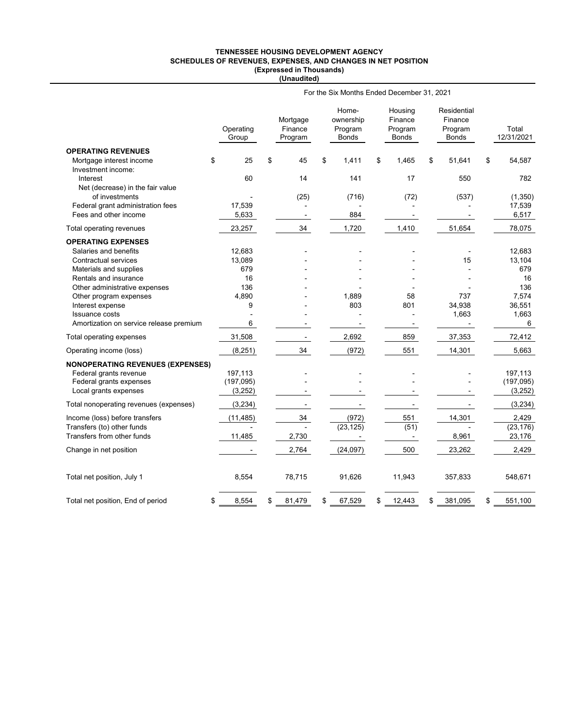#### **TENNESSEE HOUSING DEVELOPMENT AGENCY SCHEDULES OF REVENUES, EXPENSES, AND CHANGES IN NET POSITION (Expressed in Thousands) (Unaudited)**

|                                         | For the Six Months Ended December 31, 2021 |    |                                |    |                                        |    |                                        |    |                                            |    |                     |
|-----------------------------------------|--------------------------------------------|----|--------------------------------|----|----------------------------------------|----|----------------------------------------|----|--------------------------------------------|----|---------------------|
|                                         | Operating<br>Group                         |    | Mortgage<br>Finance<br>Program |    | Home-<br>ownership<br>Program<br>Bonds |    | Housing<br>Finance<br>Program<br>Bonds |    | Residential<br>Finance<br>Program<br>Bonds |    | Total<br>12/31/2021 |
| <b>OPERATING REVENUES</b>               |                                            |    |                                |    |                                        |    |                                        |    |                                            |    |                     |
| Mortgage interest income                | 25<br>\$                                   | \$ | 45                             | \$ | 1,411                                  | \$ | 1,465                                  | \$ | 51,641                                     | \$ | 54,587              |
| Investment income:<br>Interest          | 60                                         |    | 14                             |    | 141                                    |    | 17                                     |    | 550                                        |    | 782                 |
| Net (decrease) in the fair value        |                                            |    |                                |    |                                        |    |                                        |    |                                            |    |                     |
| of investments                          |                                            |    | (25)                           |    | (716)                                  |    | (72)                                   |    | (537)                                      |    | (1, 350)            |
| Federal grant administration fees       | 17,539                                     |    |                                |    |                                        |    |                                        |    |                                            |    | 17,539              |
| Fees and other income                   | 5,633                                      |    |                                |    | 884                                    |    |                                        |    |                                            |    | 6,517               |
| Total operating revenues                | 23,257                                     |    | 34                             |    | 1,720                                  |    | 1,410                                  |    | 51,654                                     |    | 78,075              |
| <b>OPERATING EXPENSES</b>               |                                            |    |                                |    |                                        |    |                                        |    |                                            |    |                     |
| Salaries and benefits                   | 12,683                                     |    |                                |    |                                        |    |                                        |    |                                            |    | 12,683              |
| <b>Contractual services</b>             | 13,089                                     |    |                                |    |                                        |    |                                        |    | 15                                         |    | 13,104              |
| Materials and supplies                  | 679                                        |    |                                |    |                                        |    |                                        |    |                                            |    | 679                 |
| Rentals and insurance                   | 16                                         |    |                                |    |                                        |    |                                        |    |                                            |    | 16                  |
| Other administrative expenses           | 136                                        |    |                                |    |                                        |    |                                        |    |                                            |    | 136                 |
| Other program expenses                  | 4,890                                      |    |                                |    | 1,889                                  |    | 58                                     |    | 737                                        |    | 7,574               |
| Interest expense                        | 9                                          |    |                                |    | 803                                    |    | 801                                    |    | 34,938                                     |    | 36,551              |
| <b>Issuance costs</b>                   |                                            |    |                                |    |                                        |    |                                        |    | 1,663                                      |    | 1,663               |
| Amortization on service release premium | 6                                          |    |                                |    |                                        |    |                                        |    |                                            |    | 6                   |
| Total operating expenses                | 31,508                                     |    | $\overline{\phantom{a}}$       |    | 2,692                                  |    | 859                                    |    | 37,353                                     |    | 72,412              |
| Operating income (loss)                 | (8, 251)                                   |    | 34                             |    | (972)                                  |    | 551                                    |    | 14,301                                     |    | 5,663               |
| <b>NONOPERATING REVENUES (EXPENSES)</b> |                                            |    |                                |    |                                        |    |                                        |    |                                            |    |                     |
| Federal grants revenue                  | 197.113                                    |    |                                |    |                                        |    |                                        |    |                                            |    | 197.113             |
| Federal grants expenses                 | (197,095)                                  |    |                                |    |                                        |    |                                        |    |                                            |    | (197, 095)          |
| Local grants expenses                   | (3,252)                                    |    |                                |    |                                        |    |                                        |    |                                            |    | (3,252)             |
| Total nonoperating revenues (expenses)  | (3,234)                                    |    | $\overline{\phantom{a}}$       |    | $\overline{\phantom{a}}$               |    | $\overline{\phantom{a}}$               |    |                                            |    | (3, 234)            |
| Income (loss) before transfers          | (11, 485)                                  |    | 34                             |    | (972)                                  |    | 551                                    |    | 14,301                                     |    | 2,429               |
| Transfers (to) other funds              |                                            |    |                                |    | (23, 125)                              |    | (51)                                   |    |                                            |    | (23, 176)           |
| Transfers from other funds              | 11,485                                     |    | 2,730                          |    | $\overline{\phantom{a}}$               |    | $\blacksquare$                         |    | 8,961                                      |    | 23,176              |
| Change in net position                  |                                            |    | 2,764                          |    | (24,097)                               |    | 500                                    |    | 23,262                                     |    | 2,429               |
| Total net position, July 1              | 8,554                                      |    | 78,715                         |    | 91,626                                 |    | 11,943                                 |    | 357,833                                    |    | 548,671             |
| Total net position, End of period       | 8,554<br>\$                                | \$ | 81,479                         | \$ | 67,529                                 | \$ | 12,443                                 | \$ | 381,095                                    | \$ | 551,100             |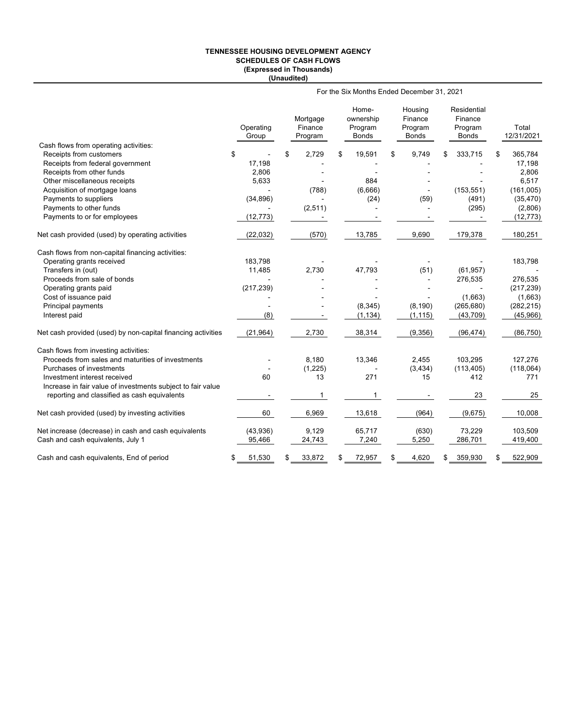## **TENNESSEE HOUSING DEVELOPMENT AGENCY SCHEDULES OF CASH FLOWS (Expressed in Thousands) (Unaudited)**

|                                                              | For the Six Months Ended December 31, 2021 |    |                                |    |                                               |    |                                               |    |                                                   |    |                     |
|--------------------------------------------------------------|--------------------------------------------|----|--------------------------------|----|-----------------------------------------------|----|-----------------------------------------------|----|---------------------------------------------------|----|---------------------|
|                                                              | Operating<br>Group                         |    | Mortgage<br>Finance<br>Program |    | Home-<br>ownership<br>Program<br><b>Bonds</b> |    | Housing<br>Finance<br>Program<br><b>Bonds</b> |    | Residential<br>Finance<br>Program<br><b>Bonds</b> |    | Total<br>12/31/2021 |
| Cash flows from operating activities:                        |                                            |    |                                |    |                                               |    |                                               |    |                                                   |    |                     |
| Receipts from customers                                      | \$                                         | \$ | 2,729                          | \$ | 19,591                                        | \$ | 9,749                                         | \$ | 333,715                                           | \$ | 365,784             |
| Receipts from federal government                             | 17,198                                     |    |                                |    |                                               |    |                                               |    |                                                   |    | 17,198              |
| Receipts from other funds                                    | 2,806                                      |    |                                |    |                                               |    |                                               |    |                                                   |    | 2,806               |
| Other miscellaneous receipts                                 | 5,633                                      |    |                                |    | 884                                           |    |                                               |    |                                                   |    | 6,517               |
| Acquisition of mortgage loans                                |                                            |    | (788)                          |    | (6,666)                                       |    |                                               |    | (153, 551)                                        |    | (161,005)           |
| Payments to suppliers                                        | (34, 896)                                  |    |                                |    | (24)                                          |    | (59)                                          |    | (491)                                             |    | (35, 470)           |
| Payments to other funds                                      |                                            |    | (2, 511)                       |    |                                               |    |                                               |    | (295)                                             |    | (2,806)             |
| Payments to or for employees                                 | (12, 773)                                  |    |                                |    |                                               |    |                                               |    |                                                   |    | (12, 773)           |
| Net cash provided (used) by operating activities             | (22, 032)                                  |    | (570)                          |    | 13,785                                        |    | 9,690                                         |    | 179,378                                           |    | 180,251             |
| Cash flows from non-capital financing activities:            |                                            |    |                                |    |                                               |    |                                               |    |                                                   |    |                     |
| Operating grants received                                    | 183,798                                    |    |                                |    |                                               |    |                                               |    |                                                   |    | 183,798             |
| Transfers in (out)                                           | 11,485                                     |    | 2,730                          |    | 47,793                                        |    | (51)                                          |    | (61, 957)                                         |    |                     |
| Proceeds from sale of bonds                                  |                                            |    |                                |    |                                               |    | $\overline{a}$                                |    | 276,535                                           |    | 276,535             |
| Operating grants paid                                        | (217, 239)                                 |    |                                |    |                                               |    |                                               |    |                                                   |    | (217, 239)          |
| Cost of issuance paid                                        |                                            |    |                                |    |                                               |    |                                               |    | (1,663)                                           |    | (1,663)             |
| Principal payments                                           | $\overline{\phantom{a}}$                   |    |                                |    | (8, 345)                                      |    | (8, 190)                                      |    | (265, 680)                                        |    | (282, 215)          |
| Interest paid                                                | (8)                                        |    |                                |    | (1, 134)                                      |    | (1, 115)                                      |    | (43, 709)                                         |    | (45,966)            |
| Net cash provided (used) by non-capital financing activities | (21, 964)                                  |    | 2,730                          |    | 38,314                                        |    | (9,356)                                       |    | (96, 474)                                         |    | (86, 750)           |
| Cash flows from investing activities:                        |                                            |    |                                |    |                                               |    |                                               |    |                                                   |    |                     |
| Proceeds from sales and maturities of investments            |                                            |    | 8,180                          |    | 13,346                                        |    | 2,455                                         |    | 103,295                                           |    | 127,276             |
| Purchases of investments                                     |                                            |    | (1, 225)                       |    |                                               |    | (3, 434)                                      |    | (113, 405)                                        |    | (118,064)           |
| Investment interest received                                 | 60                                         |    | 13                             |    | 271                                           |    | 15                                            |    | 412                                               |    | 771                 |
| Increase in fair value of investments subject to fair value  |                                            |    |                                |    |                                               |    |                                               |    |                                                   |    |                     |
| reporting and classified as cash equivalents                 |                                            |    | $\mathbf{1}$                   |    | 1                                             |    |                                               |    | 23                                                |    | 25                  |
| Net cash provided (used) by investing activities             | 60                                         |    | 6,969                          |    | 13,618                                        |    | (964)                                         |    | (9,675)                                           |    | 10,008              |
| Net increase (decrease) in cash and cash equivalents         | (43,936)                                   |    | 9,129                          |    | 65,717                                        |    | (630)                                         |    | 73,229                                            |    | 103,509             |
| Cash and cash equivalents, July 1                            | 95,466                                     |    | 24,743                         |    | 7,240                                         |    | 5,250                                         |    | 286,701                                           |    | 419,400             |
| Cash and cash equivalents, End of period                     | \$<br>51,530                               | \$ | 33,872                         | \$ | 72,957                                        | S  | 4,620                                         | \$ | 359,930                                           | \$ | 522,909             |
|                                                              |                                            |    |                                |    |                                               |    |                                               |    |                                                   |    |                     |